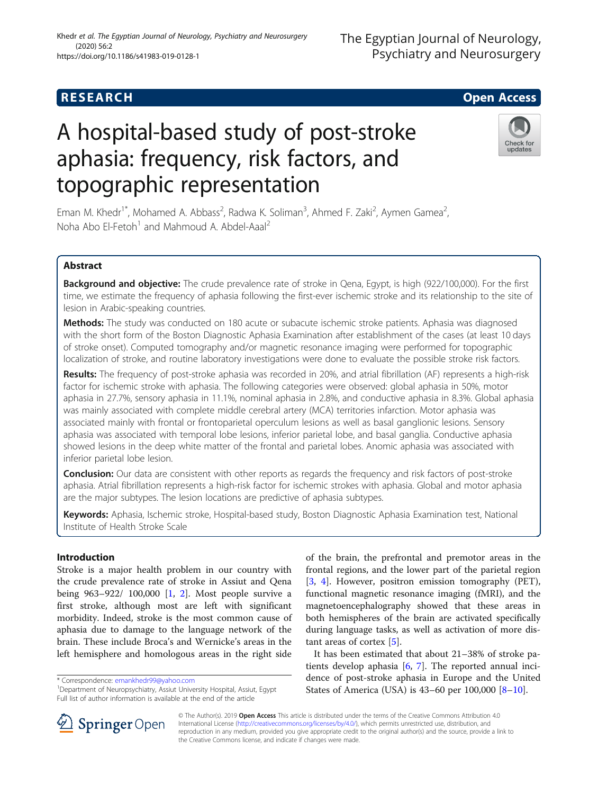## **RESEARCH CHILD CONTROL** CONTROL CONTROL CONTROL CONTROL CONTROL CONTROL CONTROL CONTROL CONTROL CONTROL CONTROL

# A hospital-based study of post-stroke aphasia: frequency, risk factors, and topographic representation

Eman M. Khedr<sup>1\*</sup>, Mohamed A. Abbass<sup>2</sup>, Radwa K. Soliman<sup>3</sup>, Ahmed F. Zaki<sup>2</sup>, Aymen Gamea<sup>2</sup> , Noha Abo El-Fetoh<sup>1</sup> and Mahmoud A. Abdel-Aaal<sup>2</sup>

## Abstract

Background and objective: The crude prevalence rate of stroke in Qena, Egypt, is high (922/100,000). For the first time, we estimate the frequency of aphasia following the first-ever ischemic stroke and its relationship to the site of lesion in Arabic-speaking countries.

Methods: The study was conducted on 180 acute or subacute ischemic stroke patients. Aphasia was diagnosed with the short form of the Boston Diagnostic Aphasia Examination after establishment of the cases (at least 10 days of stroke onset). Computed tomography and/or magnetic resonance imaging were performed for topographic localization of stroke, and routine laboratory investigations were done to evaluate the possible stroke risk factors.

Results: The frequency of post-stroke aphasia was recorded in 20%, and atrial fibrillation (AF) represents a high-risk factor for ischemic stroke with aphasia. The following categories were observed: global aphasia in 50%, motor aphasia in 27.7%, sensory aphasia in 11.1%, nominal aphasia in 2.8%, and conductive aphasia in 8.3%. Global aphasia was mainly associated with complete middle cerebral artery (MCA) territories infarction. Motor aphasia was associated mainly with frontal or frontoparietal operculum lesions as well as basal ganglionic lesions. Sensory aphasia was associated with temporal lobe lesions, inferior parietal lobe, and basal ganglia. Conductive aphasia showed lesions in the deep white matter of the frontal and parietal lobes. Anomic aphasia was associated with inferior parietal lobe lesion.

**Conclusion:** Our data are consistent with other reports as regards the frequency and risk factors of post-stroke aphasia. Atrial fibrillation represents a high-risk factor for ischemic strokes with aphasia. Global and motor aphasia are the major subtypes. The lesion locations are predictive of aphasia subtypes.

Keywords: Aphasia, Ischemic stroke, Hospital-based study, Boston Diagnostic Aphasia Examination test, National Institute of Health Stroke Scale

## Introduction

Stroke is a major health problem in our country with the crude prevalence rate of stroke in Assiut and Qena being 963–922/ 100,000 [\[1](#page-5-0), [2](#page-5-0)]. Most people survive a first stroke, although most are left with significant morbidity. Indeed, stroke is the most common cause of aphasia due to damage to the language network of the brain. These include Broca's and Wernicke's areas in the left hemisphere and homologous areas in the right side

\* Correspondence: [emankhedr99@yahoo.com](mailto:emankhedr99@yahoo.com) <sup>1</sup>

<sup>1</sup>Department of Neuropsychiatry, Assiut University Hospital, Assiut, Egypt Full list of author information is available at the end of the article

It has been estimated that about 21–38% of stroke patients develop aphasia [[6,](#page-5-0) [7\]](#page-5-0). The reported annual incidence of post-stroke aphasia in Europe and the United States of America (USA) is 43–60 per 100,000 [\[8](#page-5-0)–[10\]](#page-5-0).

tant areas of cortex [[5\]](#page-5-0).

of the brain, the prefrontal and premotor areas in the frontal regions, and the lower part of the parietal region [[3,](#page-5-0) [4\]](#page-5-0). However, positron emission tomography (PET), functional magnetic resonance imaging (fMRI), and the magnetoencephalography showed that these areas in both hemispheres of the brain are activated specifically during language tasks, as well as activation of more dis-

© The Author(s). 2019 Open Access This article is distributed under the terms of the Creative Commons Attribution 4.0 SpringerOpen International License ([http://creativecommons.org/licenses/by/4.0/\)](http://creativecommons.org/licenses/by/4.0/), which permits unrestricted use, distribution, and reproduction in any medium, provided you give appropriate credit to the original author(s) and the source, provide a link to the Creative Commons license, and indicate if changes were made.



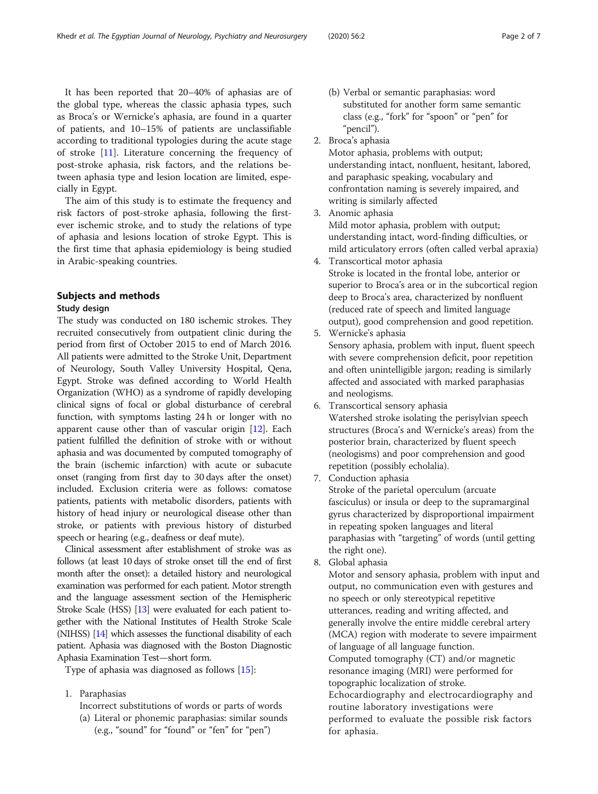It has been reported that 20–40% of aphasias are of the global type, whereas the classic aphasia types, such as Broca's or Wernicke's aphasia, are found in a quarter of patients, and 10–15% of patients are unclassifiable according to traditional typologies during the acute stage of stroke [\[11\]](#page-5-0). Literature concerning the frequency of post-stroke aphasia, risk factors, and the relations between aphasia type and lesion location are limited, especially in Egypt.

The aim of this study is to estimate the frequency and risk factors of post-stroke aphasia, following the firstever ischemic stroke, and to study the relations of type of aphasia and lesions location of stroke Egypt. This is the first time that aphasia epidemiology is being studied in Arabic-speaking countries.

## Subjects and methods

### Study design

The study was conducted on 180 ischemic strokes. They recruited consecutively from outpatient clinic during the period from first of October 2015 to end of March 2016. All patients were admitted to the Stroke Unit, Department of Neurology, South Valley University Hospital, Qena, Egypt. Stroke was defined according to World Health Organization (WHO) as a syndrome of rapidly developing clinical signs of focal or global disturbance of cerebral function, with symptoms lasting 24 h or longer with no apparent cause other than of vascular origin [[12](#page-5-0)]. Each patient fulfilled the definition of stroke with or without aphasia and was documented by computed tomography of the brain (ischemic infarction) with acute or subacute onset (ranging from first day to 30 days after the onset) included. Exclusion criteria were as follows: comatose patients, patients with metabolic disorders, patients with history of head injury or neurological disease other than stroke, or patients with previous history of disturbed speech or hearing (e.g., deafness or deaf mute).

Clinical assessment after establishment of stroke was as follows (at least 10 days of stroke onset till the end of first month after the onset): a detailed history and neurological examination was performed for each patient. Motor strength and the language assessment section of the Hemispheric Stroke Scale (HSS) [\[13](#page-5-0)] were evaluated for each patient together with the National Institutes of Health Stroke Scale (NIHSS) [\[14\]](#page-5-0) which assesses the functional disability of each patient. Aphasia was diagnosed with the Boston Diagnostic Aphasia Examination Test—short form.

Type of aphasia was diagnosed as follows [[15\]](#page-5-0):

- 1. Paraphasias
	- Incorrect substitutions of words or parts of words
	- (a) Literal or phonemic paraphasias: similar sounds (e.g., "sound" for "found" or "fen" for "pen")
- (b) Verbal or semantic paraphasias: word substituted for another form same semantic class (e.g., "fork" for "spoon" or "pen" for "pencil").
- 2. Broca's aphasia

Motor aphasia, problems with output; understanding intact, nonfluent, hesitant, labored, and paraphasic speaking, vocabulary and confrontation naming is severely impaired, and writing is similarly affected

3. Anomic aphasia

Mild motor aphasia, problem with output; understanding intact, word-finding difficulties, or mild articulatory errors (often called verbal apraxia)

- 4. Transcortical motor aphasia Stroke is located in the frontal lobe, anterior or superior to Broca's area or in the subcortical region deep to Broca's area, characterized by nonfluent (reduced rate of speech and limited language output), good comprehension and good repetition.
- 5. Wernicke's aphasia Sensory aphasia, problem with input, fluent speech with severe comprehension deficit, poor repetition and often unintelligible jargon; reading is similarly affected and associated with marked paraphasias and neologisms.
- 6. Transcortical sensory aphasia Watershed stroke isolating the perisylvian speech structures (Broca's and Wernicke's areas) from the posterior brain, characterized by fluent speech (neologisms) and poor comprehension and good repetition (possibly echolalia).
- 7. Conduction aphasia

Stroke of the parietal operculum (arcuate fasciculus) or insula or deep to the supramarginal gyrus characterized by disproportional impairment in repeating spoken languages and literal paraphasias with "targeting" of words (until getting the right one).

8. Global aphasia

Motor and sensory aphasia, problem with input and output, no communication even with gestures and no speech or only stereotypical repetitive utterances, reading and writing affected, and generally involve the entire middle cerebral artery (MCA) region with moderate to severe impairment of language of all language function. Computed tomography (CT) and/or magnetic resonance imaging (MRI) were performed for topographic localization of stroke. Echocardiography and electrocardiography and routine laboratory investigations were performed to evaluate the possible risk factors for aphasia.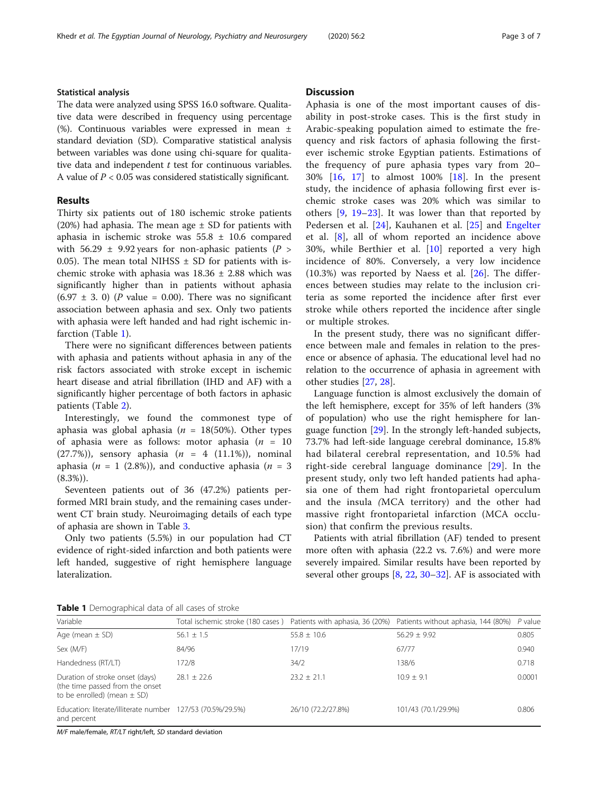## Statistical analysis

The data were analyzed using SPSS 16.0 software. Qualitative data were described in frequency using percentage (%). Continuous variables were expressed in mean ± standard deviation (SD). Comparative statistical analysis between variables was done using chi-square for qualitative data and independent  $t$  test for continuous variables. A value of  $P < 0.05$  was considered statistically significant.

## Results

Thirty six patients out of 180 ischemic stroke patients (20%) had aphasia. The mean age  $\pm$  SD for patients with aphasia in ischemic stroke was 55.8 ± 10.6 compared with 56.29  $\pm$  9.92 years for non-aphasic patients (P > 0.05). The mean total NIHSS  $\pm$  SD for patients with ischemic stroke with aphasia was  $18.36 \pm 2.88$  which was significantly higher than in patients without aphasia  $(6.97 \pm 3.0)$  (P value = 0.00). There was no significant association between aphasia and sex. Only two patients with aphasia were left handed and had right ischemic infarction (Table 1).

There were no significant differences between patients with aphasia and patients without aphasia in any of the risk factors associated with stroke except in ischemic heart disease and atrial fibrillation (IHD and AF) with a significantly higher percentage of both factors in aphasic patients (Table [2\)](#page-3-0).

Interestingly, we found the commonest type of aphasia was global aphasia ( $n = 18(50\%)$ ). Other types of aphasia were as follows: motor aphasia ( $n = 10$ (27.7%)), sensory aphasia ( $n = 4$  (11.1%)), nominal aphasia ( $n = 1$  (2.8%)), and conductive aphasia ( $n = 3$  $(8.3\%)$ .

Seventeen patients out of 36 (47.2%) patients performed MRI brain study, and the remaining cases underwent CT brain study. Neuroimaging details of each type of aphasia are shown in Table [3](#page-3-0).

Only two patients (5.5%) in our population had CT evidence of right-sided infarction and both patients were left handed, suggestive of right hemisphere language lateralization.

## **Discussion**

Aphasia is one of the most important causes of disability in post-stroke cases. This is the first study in Arabic-speaking population aimed to estimate the frequency and risk factors of aphasia following the firstever ischemic stroke Egyptian patients. Estimations of the frequency of pure aphasia types vary from 20– 30% [\[16](#page-5-0), [17](#page-5-0)] to almost 100% [[18\]](#page-5-0). In the present study, the incidence of aphasia following first ever ischemic stroke cases was 20% which was similar to others [[9,](#page-5-0) [19](#page-5-0)–[23](#page-5-0)]. It was lower than that reported by Pedersen et al. [\[24](#page-5-0)], Kauhanen et al. [[25\]](#page-5-0) and [Engelter](http://www.ncbi.nlm.nih.gov/pubmed/?term=Engelter%20ST%5BAuthor%5D&cauthor=true&cauthor_uid=16690899) et al. [\[8](#page-5-0)], all of whom reported an incidence above 30%, while Berthier et al. [[10\]](#page-5-0) reported a very high incidence of 80%. Conversely, a very low incidence (10.3%) was reported by Naess et al. [[26\]](#page-5-0). The differences between studies may relate to the inclusion criteria as some reported the incidence after first ever stroke while others reported the incidence after single or multiple strokes.

In the present study, there was no significant difference between male and females in relation to the presence or absence of aphasia. The educational level had no relation to the occurrence of aphasia in agreement with other studies [[27](#page-5-0), [28](#page-5-0)].

Language function is almost exclusively the domain of the left hemisphere, except for 35% of left handers (3% of population) who use the right hemisphere for language function [\[29\]](#page-5-0). In the strongly left-handed subjects, 73.7% had left-side language cerebral dominance, 15.8% had bilateral cerebral representation, and 10.5% had right-side cerebral language dominance [\[29\]](#page-5-0). In the present study, only two left handed patients had aphasia one of them had right frontoparietal operculum and the insula (MCA territory) and the other had massive right frontoparietal infarction (MCA occlusion) that confirm the previous results.

Patients with atrial fibrillation (AF) tended to present more often with aphasia (22.2 vs. 7.6%) and were more severely impaired. Similar results have been reported by several other groups [[8,](#page-5-0) [22,](#page-5-0) [30](#page-5-0)–[32](#page-5-0)]. AF is associated with

**Table 1** Demographical data of all cases of stroke

| <b>I where I</b> Define graph mean data or an eases of strong                                         |                                                                   |                    |                                             |        |  |  |
|-------------------------------------------------------------------------------------------------------|-------------------------------------------------------------------|--------------------|---------------------------------------------|--------|--|--|
| Variable                                                                                              | Total ischemic stroke (180 cases) Patients with aphasia, 36 (20%) |                    | Patients without aphasia, 144 (80%) P value |        |  |  |
| Age (mean $\pm$ SD)                                                                                   | $56.1 + 1.5$                                                      | $55.8 \pm 10.6$    | $56.29 \pm 9.92$                            | 0.805  |  |  |
| Sex (M/F)                                                                                             | 84/96                                                             | 17/19              | 67/77                                       | 0.940  |  |  |
| Handedness (RT/LT)                                                                                    | 172/8                                                             | 34/2               | 138/6                                       | 0.718  |  |  |
| Duration of stroke onset (days)<br>(the time passed from the onset<br>to be enrolled) (mean $\pm$ SD) | $28.1 + 22.6$                                                     | $23.2 + 21.1$      | $10.9 + 9.1$                                | 0.0001 |  |  |
| Education: literate/illiterate number 127/53 (70.5%/29.5%)<br>and percent                             |                                                                   | 26/10 (72.2/27.8%) | 101/43 (70.1/29.9%)                         | 0.806  |  |  |

M/F male/female, RT/LT right/left, SD standard deviation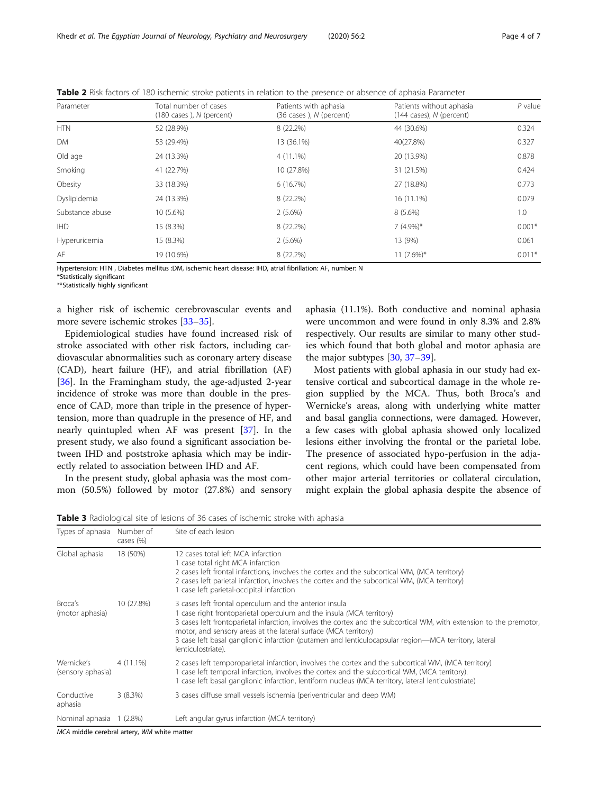| Parameter       | Total number of cases<br>$(180 \text{ cases})$ , N (percent) | Patients with aphasia<br>(36 cases), N (percent) | Patients without aphasia<br>$(144 \text{ cases})$ , N (percent) | $P$ value |
|-----------------|--------------------------------------------------------------|--------------------------------------------------|-----------------------------------------------------------------|-----------|
| <b>HTN</b>      | 52 (28.9%)                                                   | 8 (22.2%)                                        | 44 (30.6%)                                                      | 0.324     |
| <b>DM</b>       | 53 (29.4%)                                                   | 13 (36.1%)                                       | 40(27.8%)                                                       | 0.327     |
| Old age         | 24 (13.3%)                                                   | $4(11.1\%)$                                      | 20 (13.9%)                                                      | 0.878     |
| Smoking         | 41 (22.7%)                                                   | 10 (27.8%)                                       | 31 (21.5%)                                                      | 0.424     |
| Obesity         | 33 (18.3%)                                                   | 6(16.7%)                                         | 27 (18.8%)                                                      | 0.773     |
| Dyslipidemia    | 24 (13.3%)                                                   | 8 (22.2%)                                        | 16 (11.1%)                                                      | 0.079     |
| Substance abuse | 10 (5.6%)                                                    | 2(5.6%)                                          | $8(5.6\%)$                                                      | 1.0       |
| <b>IHD</b>      | 15 (8.3%)                                                    | 8 (22.2%)                                        | $7(4.9\%)*$                                                     | $0.001*$  |
| Hyperuricemia   | 15 (8.3%)                                                    | 2(5.6%)                                          | 13 (9%)                                                         | 0.061     |
| AF              | 19 (10.6%)                                                   | 8 (22.2%)                                        | $11 (7.6\%)*$                                                   | $0.011*$  |

<span id="page-3-0"></span>Table 2 Risk factors of 180 ischemic stroke patients in relation to the presence or absence of aphasia Parameter

Hypertension: HTN , Diabetes mellitus :DM, ischemic heart disease: IHD, atrial fibrillation: AF, number: N

\*Statistically significant

\*\*Statistically highly significant

a higher risk of ischemic cerebrovascular events and more severe ischemic strokes [[33](#page-5-0)–[35](#page-5-0)].

Epidemiological studies have found increased risk of stroke associated with other risk factors, including cardiovascular abnormalities such as coronary artery disease (CAD), heart failure (HF), and atrial fibrillation (AF) [[36\]](#page-5-0). In the Framingham study, the age-adjusted 2-year incidence of stroke was more than double in the presence of CAD, more than triple in the presence of hypertension, more than quadruple in the presence of HF, and nearly quintupled when AF was present [\[37](#page-5-0)]. In the present study, we also found a significant association between IHD and poststroke aphasia which may be indirectly related to association between IHD and AF.

In the present study, global aphasia was the most common (50.5%) followed by motor (27.8%) and sensory

aphasia (11.1%). Both conductive and nominal aphasia were uncommon and were found in only 8.3% and 2.8% respectively. Our results are similar to many other studies which found that both global and motor aphasia are the major subtypes [[30](#page-5-0), [37](#page-5-0)–[39](#page-6-0)].

Most patients with global aphasia in our study had extensive cortical and subcortical damage in the whole region supplied by the MCA. Thus, both Broca's and Wernicke's areas, along with underlying white matter and basal ganglia connections, were damaged. However, a few cases with global aphasia showed only localized lesions either involving the frontal or the parietal lobe. The presence of associated hypo-perfusion in the adjacent regions, which could have been compensated from other major arterial territories or collateral circulation, might explain the global aphasia despite the absence of

Table 3 Radiological site of lesions of 36 cases of ischemic stroke with aphasia

|                                 | Number of<br>cases (%) | Site of each lesion                                                                                                                                                                                                                                                                                                                                                                                                                                  |
|---------------------------------|------------------------|------------------------------------------------------------------------------------------------------------------------------------------------------------------------------------------------------------------------------------------------------------------------------------------------------------------------------------------------------------------------------------------------------------------------------------------------------|
| Global aphasia                  | 18 (50%)               | 12 cases total left MCA infarction<br>1 case total right MCA infarction<br>2 cases left frontal infarctions, involves the cortex and the subcortical WM, (MCA territory)<br>2 cases left parietal infarction, involves the cortex and the subcortical WM, (MCA territory)<br>case left parietal-occipital infarction                                                                                                                                 |
| Broca's<br>(motor aphasia)      | 10 (27.8%)             | 3 cases left frontal operculum and the anterior insula<br>case right frontoparietal operculum and the insula (MCA territory)<br>3 cases left frontoparietal infarction, involves the cortex and the subcortical WM, with extension to the premotor,<br>motor, and sensory areas at the lateral surface (MCA territory)<br>3 case left basal ganglionic infarction (putamen and lenticulocapsular region—MCA territory, lateral<br>lenticulostriate). |
| Wernicke's<br>(sensory aphasia) | $4(11.1\%)$            | 2 cases left temporoparietal infarction, involves the cortex and the subcortical WM, (MCA territory)<br>I case left temporal infarction, involves the cortex and the subcortical WM, (MCA territory).<br>I case left basal ganglionic infarction, lentiform nucleus (MCA territory, lateral lenticulostriate)                                                                                                                                        |
| Conductive<br>aphasia           | 3(8.3%)                | 3 cases diffuse small vessels ischemia (periventricular and deep WM)                                                                                                                                                                                                                                                                                                                                                                                 |
| Nominal aphasia 1 (2.8%)        |                        | Left angular gyrus infarction (MCA territory)                                                                                                                                                                                                                                                                                                                                                                                                        |

MCA middle cerebral artery, WM white matte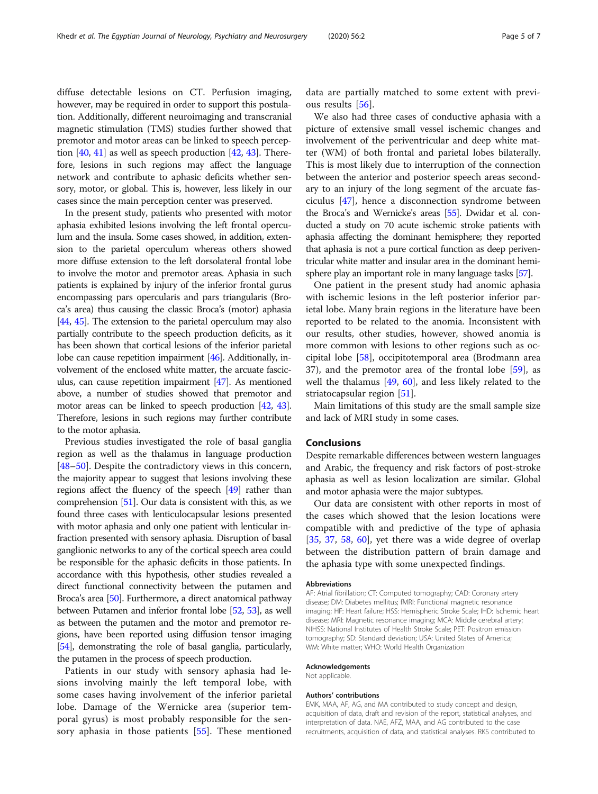diffuse detectable lesions on CT. Perfusion imaging, however, may be required in order to support this postulation. Additionally, different neuroimaging and transcranial magnetic stimulation (TMS) studies further showed that premotor and motor areas can be linked to speech perception  $[40, 41]$  $[40, 41]$  $[40, 41]$  $[40, 41]$  $[40, 41]$  as well as speech production  $[42, 43]$  $[42, 43]$  $[42, 43]$  $[42, 43]$ . Therefore, lesions in such regions may affect the language network and contribute to aphasic deficits whether sensory, motor, or global. This is, however, less likely in our cases since the main perception center was preserved.

In the present study, patients who presented with motor aphasia exhibited lesions involving the left frontal operculum and the insula. Some cases showed, in addition, extension to the parietal operculum whereas others showed more diffuse extension to the left dorsolateral frontal lobe to involve the motor and premotor areas. Aphasia in such patients is explained by injury of the inferior frontal gurus encompassing pars opercularis and pars triangularis (Broca's area) thus causing the classic Broca's (motor) aphasia [[44](#page-6-0), [45\]](#page-6-0). The extension to the parietal operculum may also partially contribute to the speech production deficits, as it has been shown that cortical lesions of the inferior parietal lobe can cause repetition impairment [\[46\]](#page-6-0). Additionally, involvement of the enclosed white matter, the arcuate fasciculus, can cause repetition impairment [[47](#page-6-0)]. As mentioned above, a number of studies showed that premotor and motor areas can be linked to speech production [[42,](#page-6-0) [43](#page-6-0)]. Therefore, lesions in such regions may further contribute to the motor aphasia.

Previous studies investigated the role of basal ganglia region as well as the thalamus in language production [[48](#page-6-0)–[50](#page-6-0)]. Despite the contradictory views in this concern, the majority appear to suggest that lesions involving these regions affect the fluency of the speech [[49](#page-6-0)] rather than comprehension [\[51\]](#page-6-0). Our data is consistent with this, as we found three cases with lenticulocapsular lesions presented with motor aphasia and only one patient with lenticular infraction presented with sensory aphasia. Disruption of basal ganglionic networks to any of the cortical speech area could be responsible for the aphasic deficits in those patients. In accordance with this hypothesis, other studies revealed a direct functional connectivity between the putamen and Broca's area [\[50](#page-6-0)]. Furthermore, a direct anatomical pathway between Putamen and inferior frontal lobe [[52](#page-6-0), [53\]](#page-6-0), as well as between the putamen and the motor and premotor regions, have been reported using diffusion tensor imaging [[54](#page-6-0)], demonstrating the role of basal ganglia, particularly, the putamen in the process of speech production.

Patients in our study with sensory aphasia had lesions involving mainly the left temporal lobe, with some cases having involvement of the inferior parietal lobe. Damage of the Wernicke area (superior temporal gyrus) is most probably responsible for the sensory aphasia in those patients [[55\]](#page-6-0). These mentioned

data are partially matched to some extent with previous results [[56\]](#page-6-0).

We also had three cases of conductive aphasia with a picture of extensive small vessel ischemic changes and involvement of the periventricular and deep white matter (WM) of both frontal and parietal lobes bilaterally. This is most likely due to interruption of the connection between the anterior and posterior speech areas secondary to an injury of the long segment of the arcuate fasciculus [[47\]](#page-6-0), hence a disconnection syndrome between the Broca's and Wernicke's areas [\[55\]](#page-6-0). Dwidar et al. conducted a study on 70 acute ischemic stroke patients with aphasia affecting the dominant hemisphere; they reported that aphasia is not a pure cortical function as deep periventricular white matter and insular area in the dominant hemisphere play an important role in many language tasks [[57\]](#page-6-0).

One patient in the present study had anomic aphasia with ischemic lesions in the left posterior inferior parietal lobe. Many brain regions in the literature have been reported to be related to the anomia. Inconsistent with our results, other studies, however, showed anomia is more common with lesions to other regions such as occipital lobe [[58\]](#page-6-0), occipitotemporal area (Brodmann area 37), and the premotor area of the frontal lobe [[59\]](#page-6-0), as well the thalamus [\[49](#page-6-0), [60\]](#page-6-0), and less likely related to the striatocapsular region [\[51](#page-6-0)].

Main limitations of this study are the small sample size and lack of MRI study in some cases.

#### Conclusions

Despite remarkable differences between western languages and Arabic, the frequency and risk factors of post-stroke aphasia as well as lesion localization are similar. Global and motor aphasia were the major subtypes.

Our data are consistent with other reports in most of the cases which showed that the lesion locations were compatible with and predictive of the type of aphasia [[35,](#page-5-0) [37,](#page-5-0) [58,](#page-6-0) [60](#page-6-0)], yet there was a wide degree of overlap between the distribution pattern of brain damage and the aphasia type with some unexpected findings.

#### Abbreviations

AF: Atrial fibrillation; CT: Computed tomography; CAD: Coronary artery disease; DM: Diabetes mellitus; fMRI: Functional magnetic resonance imaging; HF: Heart failure; HSS: Hemispheric Stroke Scale; IHD: Ischemic heart disease; MRI: Magnetic resonance imaging; MCA: Middle cerebral artery; NIHSS: National Institutes of Health Stroke Scale; PET: Positron emission tomography; SD: Standard deviation; USA: United States of America; WM: White matter; WHO: World Health Organization

#### Acknowledgements

Not applicable.

#### Authors' contributions

EMK, MAA, AF, AG, and MA contributed to study concept and design, acquisition of data, draft and revision of the report, statistical analyses, and interpretation of data. NAE, AFZ, MAA, and AG contributed to the case recruitments, acquisition of data, and statistical analyses. RKS contributed to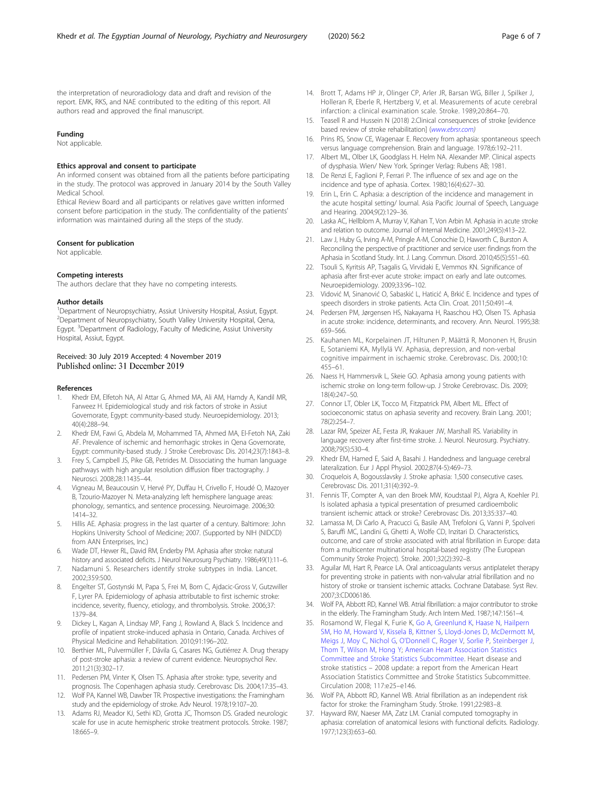<span id="page-5-0"></span>the interpretation of neuroradiology data and draft and revision of the report. EMK, RKS, and NAE contributed to the editing of this report. All authors read and approved the final manuscript.

#### Funding

Not applicable.

#### Ethics approval and consent to participate

An informed consent was obtained from all the patients before participating in the study. The protocol was approved in January 2014 by the South Valley Medical School.

Ethical Review Board and all participants or relatives gave written informed consent before participation in the study. The confidentiality of the patients' information was maintained during all the steps of the study.

#### Consent for publication

Not applicable.

#### Competing interests

The authors declare that they have no competing interests.

#### Author details

<sup>1</sup>Department of Neuropsychiatry, Assiut University Hospital, Assiut, Egypt. 2 Department of Neuropsychiatry, South Valley University Hospital, Qena, Egypt. <sup>3</sup>Department of Radiology, Faculty of Medicine, Assiut University Hospital, Assiut, Egypt.

# Received: 30 July 2019 Accepted: 4 November 2019

#### References

- 1. Khedr EM, Elfetoh NA, Al Attar G, Ahmed MA, Ali AM, Hamdy A, Kandil MR, Farweez H. Epidemiological study and risk factors of stroke in Assiut Governorate, Egypt: community-based study. Neuroepidemiology. 2013; 40(4):288–94.
- 2. Khedr EM, Fawi G, Abdela M, Mohammed TA, Ahmed MA, El-Fetoh NA, Zaki AF. Prevalence of ischemic and hemorrhagic strokes in Qena Governorate, Egypt: community-based study. J Stroke Cerebrovasc Dis. 2014;23(7):1843–8.
- 3. Frey S, Campbell JS, Pike GB, Petrides M. Dissociating the human language pathways with high angular resolution diffusion fiber tractography. J Neurosci. 2008;28:11435–44.
- 4. Vigneau M, Beaucousin V, Hervé PY, Duffau H, Crivello F, Houdé O, Mazoyer B, Tzourio-Mazoyer N. Meta-analyzing left hemisphere language areas: phonology, semantics, and sentence processing. Neuroimage. 2006;30: 1414–32.
- 5. Hillis AE. Aphasia: progress in the last quarter of a century. Baltimore: John Hopkins University School of Medicine; 2007. (Supported by NIH (NIDCD) from AAN Enterprises, Inc.)
- 6. Wade DT, Hewer RL, David RM, Enderby PM. Aphasia after stroke: natural history and associated deficits. J Neurol Neurosurg Psychiatry. 1986;49(1):11–6.
- 7. Nadamuni S. Researchers identify stroke subtypes in India. Lancet. 2002;359:500.
- 8. Engelter ST, Gostynski M, Papa S, Frei M, Born C, Ajdacic-Gross V, Gutzwiller F, Lyrer PA. Epidemiology of aphasia attributable to first ischemic stroke: incidence, severity, fluency, etiology, and thrombolysis. Stroke. 2006;37: 1379–84.
- 9. Dickey L, Kagan A, Lindsay MP, Fang J, Rowland A, Black S. Incidence and profile of inpatient stroke-induced aphasia in Ontario, Canada. Archives of Physical Medicine and Rehabilitation. 2010;91:196–202.
- 10. Berthier ML, Pulvermüller F, Dávila G, Casares NG, Gutiérrez A. Drug therapy of post-stroke aphasia: a review of current evidence. Neuropsychol Rev. 2011;21(3):302–17.
- 11. Pedersen PM, Vinter K, Olsen TS. Aphasia after stroke: type, severity and prognosis. The Copenhagen aphasia study. Cerebrovasc Dis. 2004;17:35–43.
- 12. Wolf PA, Kannel WB, Dawber TR. Prospective investigations: the Framingham study and the epidemiology of stroke. Adv Neurol. 1978;19:107–20.
- 13. Adams RJ, Meador KJ, Sethi KD, Grotta JC, Thomson DS. Graded neurologic scale for use in acute hemispheric stroke treatment protocols. Stroke. 1987; 18:665–9.
- 14. Brott T, Adams HP Jr, Olinger CP, Arler JR, Barsan WG, Biller J, Spilker J, Holleran R, Eberle R, Hertzberg V, et al. Measurements of acute cerebral infarction: a clinical examination scale. Stroke. 1989;20:864–70.
- 15. Teasell R and Hussein N (2018) 2.Clinical consequences of stroke [evidence based review of stroke rehabilitation] ([www.ebrsr.com\)](http://www.ebrsr.com)
- 16. Prins RS, Snow CE, Wagenaar E. Recovery from aphasia: spontaneous speech versus language comprehension. Brain and language. 1978;6:192–211.
- 17. Albert ML, Olber LK, Goodglass H. Helm NA. Alexander MP. Clinical aspects of dysphasia. Wien/ New York. Springer Verlag: Rubens AB; 1981.
- 18. De Renzi E, Faglioni P, Ferrari P. The influence of sex and age on the incidence and type of aphasia. Cortex. 1980;16(4):627–30.
- 19. Erin L, Erin C. Aphasia: a description of the incidence and management in the acute hospital setting/ lournal. Asia Pacific Journal of Speech, Language and Hearing. 2004;9(2):129–36.
- 20. Laska AC, Hellblom A, Murray V, Kahan T, Von Arbin M. Aphasia in acute stroke and relation to outcome. Journal of Internal Medicine. 2001;249(5):413–22.
- 21. Law J, Huby G, Irving A-M, Pringle A-M, Conochie D, Haworth C, Burston A. Reconciling the perspective of practitioner and service user: findings from the Aphasia in Scotland Study. Int. J. Lang. Commun. Disord. 2010;45(5):551–60.
- 22. Tsouli S, Kyritsis AP, Tsagalis G, Virvidaki E, Vemmos KN. Significance of aphasia after first-ever acute stroke: impact on early and late outcomes. Neuroepidemiology. 2009;33:96–102.
- 23. Vidović M, Sinanović O, Sabaskić L, Haticić A, Brkić E. Incidence and types of speech disorders in stroke patients. Acta Clin. Croat. 2011;50:491–4.
- 24. Pedersen PM, Jørgensen HS, Nakayama H, Raaschou HO, Olsen TS. Aphasia in acute stroke: incidence, determinants, and recovery. Ann. Neurol. 1995;38: 659–566.
- 25. Kauhanen ML, Korpelainen JT, Hiltunen P, Määttä R, Mononen H, Brusin E, Sotaniemi KA, Myllylä VV. Aphasia, depression, and non-verbal cognitive impairment in ischaemic stroke. Cerebrovasc. Dis. 2000;10: 455–61.
- 26. Naess H, Hammersvik L, Skeie GO. Aphasia among young patients with ischemic stroke on long-term follow-up. J Stroke Cerebrovasc. Dis. 2009; 18(4):247–50.
- 27. Connor LT, Obler LK, Tocco M, Fitzpatrick PM, Albert ML. Effect of socioeconomic status on aphasia severity and recovery. Brain Lang. 2001; 78(2):254–7.
- 28. Lazar RM, Speizer AE, Festa JR, Krakauer JW, Marshall RS. Variability in language recovery after first-time stroke. J. Neurol. Neurosurg. Psychiatry. 2008;79(5):530–4.
- 29. Khedr EM, Hamed E, Said A, Basahi J. Handedness and language cerebral lateralization. Eur J Appl Physiol. 2002;87(4-5):469–73.
- 30. Croquelois A, Bogousslavsky J. Stroke aphasia: 1,500 consecutive cases. Cerebrovasc Dis. 2011;31(4):392–9.
- 31. Fennis TF, Compter A, van den Broek MW, Koudstaal PJ, Algra A, Koehler PJ. Is isolated aphasia a typical presentation of presumed cardioembolic transient ischemic attack or stroke? Cerebrovasc Dis. 2013;35:337–40.
- 32. Lamassa M, Di Carlo A, Pracucci G, Basile AM, Trefoloni G, Vanni P, Spolveri S, Baruffi MC, Landini G, Ghetti A, Wolfe CD, Inzitari D. Characteristics, outcome, and care of stroke associated with atrial fibrillation in Europe: data from a multicenter multinational hospital-based registry (The European Community Stroke Project). Stroke. 2001;32(2):392–8.
- 33. Aguilar MI, Hart R, Pearce LA. Oral anticoagulants versus antiplatelet therapy for preventing stroke in patients with non-valvular atrial fibrillation and no history of stroke or transient ischemic attacks. Cochrane Database. Syst Rev. 2007;3:CD006186.
- 34. Wolf PA, Abbott RD, Kannel WB. Atrial fibrillation: a major contributor to stroke in the elderly. The Framingham Study. Arch Intern Med. 1987;147:1561–4.
- 35. Rosamond W, Flegal K, Furie K, [Go A,](https://www.ncbi.nlm.nih.gov/pubmed/?term=Go%20A%5BAuthor%5D&cauthor=true&cauthor_uid=18086926) [Greenlund K,](https://www.ncbi.nlm.nih.gov/pubmed/?term=Greenlund%20K%5BAuthor%5D&cauthor=true&cauthor_uid=18086926) [Haase N,](https://www.ncbi.nlm.nih.gov/pubmed/?term=Haase%20N%5BAuthor%5D&cauthor=true&cauthor_uid=18086926) [Hailpern](https://www.ncbi.nlm.nih.gov/pubmed/?term=Hailpern%20SM%5BAuthor%5D&cauthor=true&cauthor_uid=18086926) [SM,](https://www.ncbi.nlm.nih.gov/pubmed/?term=Hailpern%20SM%5BAuthor%5D&cauthor=true&cauthor_uid=18086926) [Ho M,](https://www.ncbi.nlm.nih.gov/pubmed/?term=Ho%20M%5BAuthor%5D&cauthor=true&cauthor_uid=18086926) [Howard V,](https://www.ncbi.nlm.nih.gov/pubmed/?term=Howard%20V%5BAuthor%5D&cauthor=true&cauthor_uid=18086926) [Kissela B,](https://www.ncbi.nlm.nih.gov/pubmed/?term=Kissela%20B%5BAuthor%5D&cauthor=true&cauthor_uid=18086926) [Kittner S,](https://www.ncbi.nlm.nih.gov/pubmed/?term=Kittner%20S%5BAuthor%5D&cauthor=true&cauthor_uid=18086926) [Lloyd-Jones D,](https://www.ncbi.nlm.nih.gov/pubmed/?term=Lloyd-Jones%20D%5BAuthor%5D&cauthor=true&cauthor_uid=18086926) [McDermott M](https://www.ncbi.nlm.nih.gov/pubmed/?term=McDermott%20M%5BAuthor%5D&cauthor=true&cauthor_uid=18086926), [Meigs J](https://www.ncbi.nlm.nih.gov/pubmed/?term=Meigs%20J%5BAuthor%5D&cauthor=true&cauthor_uid=18086926), [Moy C](https://www.ncbi.nlm.nih.gov/pubmed/?term=Moy%20C%5BAuthor%5D&cauthor=true&cauthor_uid=18086926), [Nichol G,](https://www.ncbi.nlm.nih.gov/pubmed/?term=Nichol%20G%5BAuthor%5D&cauthor=true&cauthor_uid=18086926) [O'Donnell C,](https://www.ncbi.nlm.nih.gov/pubmed/?term=O%27Donnell%20C%5BAuthor%5D&cauthor=true&cauthor_uid=18086926) [Roger V,](https://www.ncbi.nlm.nih.gov/pubmed/?term=Roger%20V%5BAuthor%5D&cauthor=true&cauthor_uid=18086926) [Sorlie P,](https://www.ncbi.nlm.nih.gov/pubmed/?term=Sorlie%20P%5BAuthor%5D&cauthor=true&cauthor_uid=18086926) [Steinberger J,](https://www.ncbi.nlm.nih.gov/pubmed/?term=Steinberger%20J%5BAuthor%5D&cauthor=true&cauthor_uid=18086926) [Thom T,](https://www.ncbi.nlm.nih.gov/pubmed/?term=Thom%20T%5BAuthor%5D&cauthor=true&cauthor_uid=18086926) [Wilson M](https://www.ncbi.nlm.nih.gov/pubmed/?term=Wilson%20M%5BAuthor%5D&cauthor=true&cauthor_uid=18086926), [Hong Y](https://www.ncbi.nlm.nih.gov/pubmed/?term=Hong%20Y%5BAuthor%5D&cauthor=true&cauthor_uid=18086926); [American Heart Association Statistics](https://www.ncbi.nlm.nih.gov/pubmed/?term=American%20Heart%20Association%20Statistics%20Committee%20and%20Stroke%20Statistics%20Subcommittee%5BCorporate%20Author%5D) [Committee and Stroke Statistics Subcommittee](https://www.ncbi.nlm.nih.gov/pubmed/?term=American%20Heart%20Association%20Statistics%20Committee%20and%20Stroke%20Statistics%20Subcommittee%5BCorporate%20Author%5D). Heart disease and stroke statistics – 2008 update: a report from the American Heart Association Statistics Committee and Stroke Statistics Subcommittee. Circulation 2008; 117:e25–e146.
- 36. Wolf PA, Abbott RD, Kannel WB. Atrial fibrillation as an independent risk factor for stroke: the Framingham Study. Stroke. 1991;22:983–8.
- 37. Hayward RW, Naeser MA, Zatz LM. Cranial computed tomography in aphasia: correlation of anatomical lesions with functional deficits. Radiology. 1977;123(3):653–60.